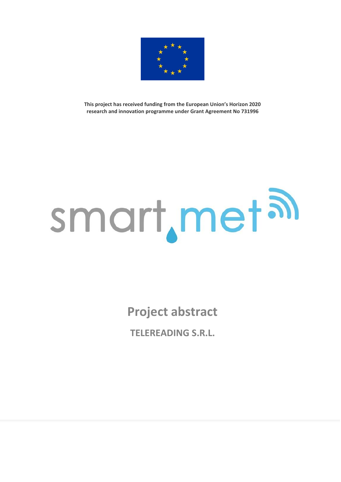

**This project has received funding from the European Union's Horizon 2020 research and innovation programme under Grant Agreement No 731996**

## smart, met al

**Project abstract**

**TELEREADING S.R.L.**